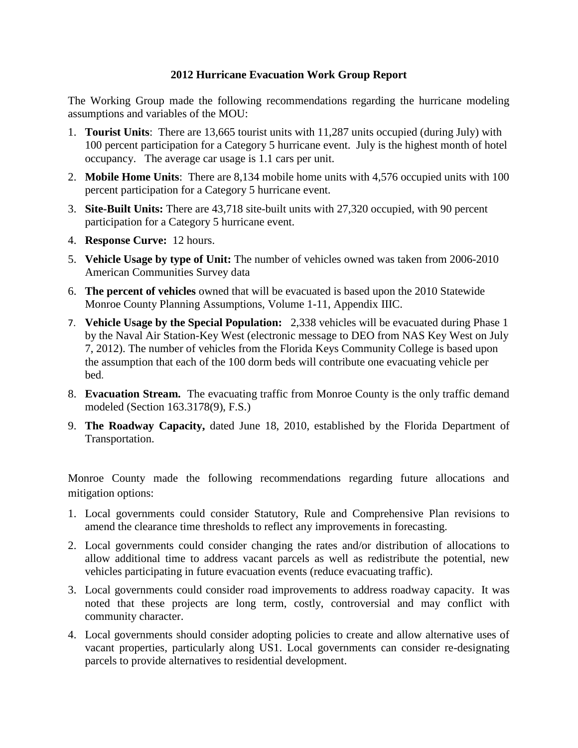### **2012 Hurricane Evacuation Work Group Report**

The Working Group made the following recommendations regarding the hurricane modeling assumptions and variables of the MOU:

- 1. **Tourist Units**: There are 13,665 tourist units with 11,287 units occupied (during July) with 100 percent participation for a Category 5 hurricane event. July is the highest month of hotel occupancy. The average car usage is 1.1 cars per unit.
- 2. **Mobile Home Units**: There are 8,134 mobile home units with 4,576 occupied units with 100 percent participation for a Category 5 hurricane event.
- 3. **Site-Built Units:** There are 43,718 site-built units with 27,320 occupied, with 90 percent participation for a Category 5 hurricane event.
- 4. **Response Curve:** 12 hours.
- 5. **Vehicle Usage by type of Unit:** The number of vehicles owned was taken from 2006-2010 American Communities Survey data
- 6. **The percent of vehicles** owned that will be evacuated is based upon the 2010 Statewide Monroe County Planning Assumptions, Volume 1-11, Appendix IIIC.
- 7. **Vehicle Usage by the Special Population:** 2,338 vehicles will be evacuated during Phase 1 by the Naval Air Station-Key West (electronic message to DEO from NAS Key West on July 7, 2012). The number of vehicles from the Florida Keys Community College is based upon the assumption that each of the 100 dorm beds will contribute one evacuating vehicle per bed.
- 8. **Evacuation Stream.** The evacuating traffic from Monroe County is the only traffic demand modeled (Section 163.3178(9), F.S.)
- 9. **The Roadway Capacity,** dated June 18, 2010, established by the Florida Department of Transportation.

Monroe County made the following recommendations regarding future allocations and mitigation options:

- 1. Local governments could consider Statutory, Rule and Comprehensive Plan revisions to amend the clearance time thresholds to reflect any improvements in forecasting.
- 2. Local governments could consider changing the rates and/or distribution of allocations to allow additional time to address vacant parcels as well as redistribute the potential, new vehicles participating in future evacuation events (reduce evacuating traffic).
- 3. Local governments could consider road improvements to address roadway capacity. It was noted that these projects are long term, costly, controversial and may conflict with community character.
- 4. Local governments should consider adopting policies to create and allow alternative uses of vacant properties, particularly along US1. Local governments can consider re-designating parcels to provide alternatives to residential development.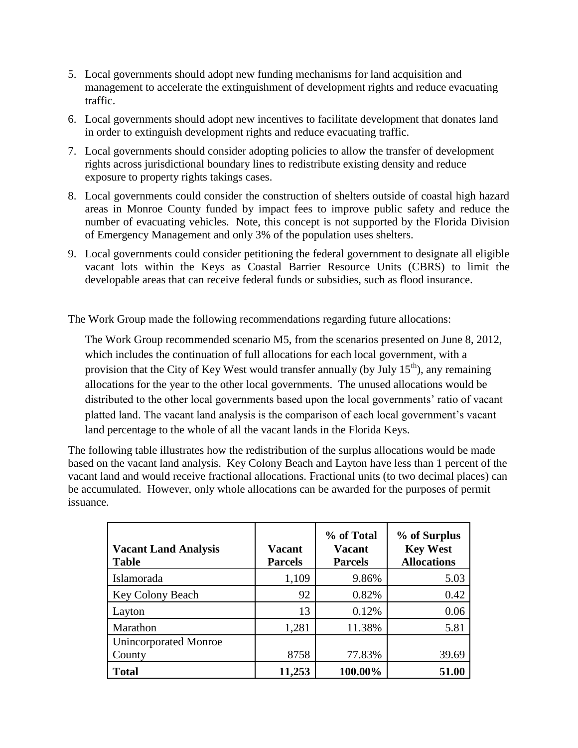- 5. Local governments should adopt new funding mechanisms for land acquisition and management to accelerate the extinguishment of development rights and reduce evacuating traffic.
- 6. Local governments should adopt new incentives to facilitate development that donates land in order to extinguish development rights and reduce evacuating traffic.
- 7. Local governments should consider adopting policies to allow the transfer of development rights across jurisdictional boundary lines to redistribute existing density and reduce exposure to property rights takings cases.
- 8. Local governments could consider the construction of shelters outside of coastal high hazard areas in Monroe County funded by impact fees to improve public safety and reduce the number of evacuating vehicles. Note, this concept is not supported by the Florida Division of Emergency Management and only 3% of the population uses shelters.
- 9. Local governments could consider petitioning the federal government to designate all eligible vacant lots within the Keys as Coastal Barrier Resource Units (CBRS) to limit the developable areas that can receive federal funds or subsidies, such as flood insurance.

The Work Group made the following recommendations regarding future allocations:

The Work Group recommended scenario M5, from the scenarios presented on June 8, 2012, which includes the continuation of full allocations for each local government, with a provision that the City of Key West would transfer annually (by July  $15<sup>th</sup>$ ), any remaining allocations for the year to the other local governments. The unused allocations would be distributed to the other local governments based upon the local governments' ratio of vacant platted land. The vacant land analysis is the comparison of each local government's vacant land percentage to the whole of all the vacant lands in the Florida Keys.

The following table illustrates how the redistribution of the surplus allocations would be made based on the vacant land analysis. Key Colony Beach and Layton have less than 1 percent of the vacant land and would receive fractional allocations. Fractional units (to two decimal places) can be accumulated. However, only whole allocations can be awarded for the purposes of permit issuance.

| <b>Vacant Land Analysis</b><br><b>Table</b> | <b>Vacant</b><br><b>Parcels</b> | % of Total<br><b>Vacant</b><br><b>Parcels</b> | % of Surplus<br><b>Key West</b><br><b>Allocations</b> |
|---------------------------------------------|---------------------------------|-----------------------------------------------|-------------------------------------------------------|
| Islamorada                                  | 1,109                           | 9.86%                                         | 5.03                                                  |
| Key Colony Beach                            | 92                              | 0.82%                                         | 0.42                                                  |
| Layton                                      | 13                              | 0.12%                                         | 0.06                                                  |
| Marathon                                    | 1,281                           | 11.38%                                        | 5.81                                                  |
| <b>Unincorporated Monroe</b><br>County      | 8758                            | 77.83%                                        | 39.69                                                 |
| <b>Total</b>                                | 11,253                          | 100.00%                                       | 51.00                                                 |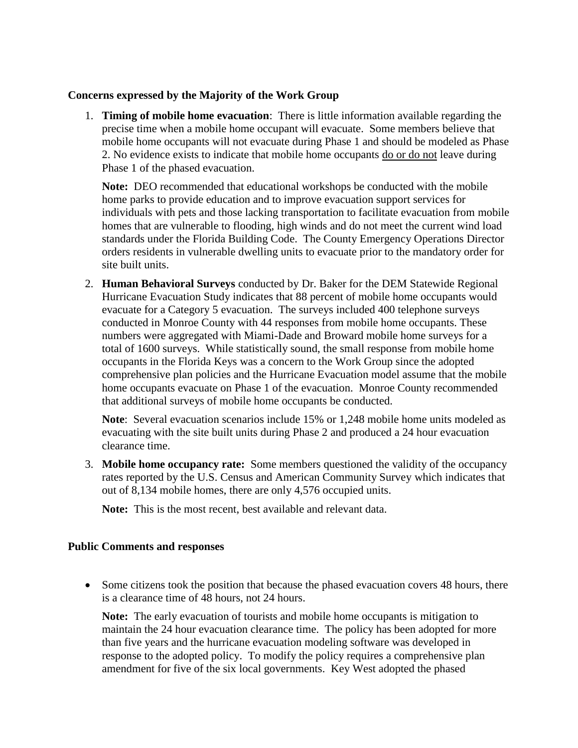### **Concerns expressed by the Majority of the Work Group**

1. **Timing of mobile home evacuation**: There is little information available regarding the precise time when a mobile home occupant will evacuate. Some members believe that mobile home occupants will not evacuate during Phase 1 and should be modeled as Phase 2. No evidence exists to indicate that mobile home occupants do or do not leave during Phase 1 of the phased evacuation.

**Note:** DEO recommended that educational workshops be conducted with the mobile home parks to provide education and to improve evacuation support services for individuals with pets and those lacking transportation to facilitate evacuation from mobile homes that are vulnerable to flooding, high winds and do not meet the current wind load standards under the Florida Building Code. The County Emergency Operations Director orders residents in vulnerable dwelling units to evacuate prior to the mandatory order for site built units.

2. **Human Behavioral Surveys** conducted by Dr. Baker for the DEM Statewide Regional Hurricane Evacuation Study indicates that 88 percent of mobile home occupants would evacuate for a Category 5 evacuation. The surveys included 400 telephone surveys conducted in Monroe County with 44 responses from mobile home occupants. These numbers were aggregated with Miami-Dade and Broward mobile home surveys for a total of 1600 surveys. While statistically sound, the small response from mobile home occupants in the Florida Keys was a concern to the Work Group since the adopted comprehensive plan policies and the Hurricane Evacuation model assume that the mobile home occupants evacuate on Phase 1 of the evacuation. Monroe County recommended that additional surveys of mobile home occupants be conducted.

**Note**: Several evacuation scenarios include 15% or 1,248 mobile home units modeled as evacuating with the site built units during Phase 2 and produced a 24 hour evacuation clearance time.

3. **Mobile home occupancy rate:** Some members questioned the validity of the occupancy rates reported by the U.S. Census and American Community Survey which indicates that out of 8,134 mobile homes, there are only 4,576 occupied units.

**Note:** This is the most recent, best available and relevant data.

### **Public Comments and responses**

• Some citizens took the position that because the phased evacuation covers 48 hours, there is a clearance time of 48 hours, not 24 hours.

**Note:** The early evacuation of tourists and mobile home occupants is mitigation to maintain the 24 hour evacuation clearance time. The policy has been adopted for more than five years and the hurricane evacuation modeling software was developed in response to the adopted policy. To modify the policy requires a comprehensive plan amendment for five of the six local governments. Key West adopted the phased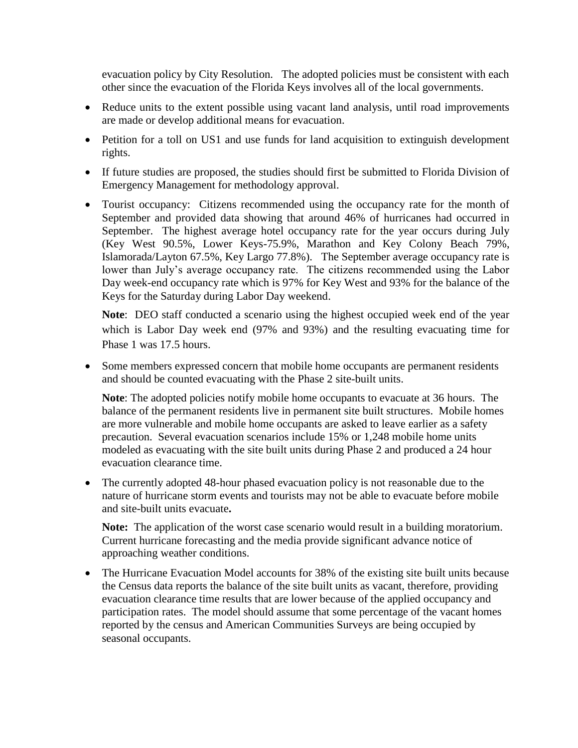evacuation policy by City Resolution. The adopted policies must be consistent with each other since the evacuation of the Florida Keys involves all of the local governments.

- Reduce units to the extent possible using vacant land analysis, until road improvements are made or develop additional means for evacuation.
- Petition for a toll on US1 and use funds for land acquisition to extinguish development rights.
- If future studies are proposed, the studies should first be submitted to Florida Division of Emergency Management for methodology approval.
- Tourist occupancy: Citizens recommended using the occupancy rate for the month of September and provided data showing that around 46% of hurricanes had occurred in September. The highest average hotel occupancy rate for the year occurs during July (Key West 90.5%, Lower Keys-75.9%, Marathon and Key Colony Beach 79%, Islamorada/Layton 67.5%, Key Largo 77.8%). The September average occupancy rate is lower than July's average occupancy rate. The citizens recommended using the Labor Day week-end occupancy rate which is 97% for Key West and 93% for the balance of the Keys for the Saturday during Labor Day weekend.

**Note**: DEO staff conducted a scenario using the highest occupied week end of the year which is Labor Day week end (97% and 93%) and the resulting evacuating time for Phase 1 was 17.5 hours.

 Some members expressed concern that mobile home occupants are permanent residents and should be counted evacuating with the Phase 2 site-built units.

**Note**: The adopted policies notify mobile home occupants to evacuate at 36 hours. The balance of the permanent residents live in permanent site built structures. Mobile homes are more vulnerable and mobile home occupants are asked to leave earlier as a safety precaution. Several evacuation scenarios include 15% or 1,248 mobile home units modeled as evacuating with the site built units during Phase 2 and produced a 24 hour evacuation clearance time.

• The currently adopted 48-hour phased evacuation policy is not reasonable due to the nature of hurricane storm events and tourists may not be able to evacuate before mobile and site-built units evacuate**.** 

**Note:** The application of the worst case scenario would result in a building moratorium. Current hurricane forecasting and the media provide significant advance notice of approaching weather conditions.

• The Hurricane Evacuation Model accounts for 38% of the existing site built units because the Census data reports the balance of the site built units as vacant, therefore, providing evacuation clearance time results that are lower because of the applied occupancy and participation rates. The model should assume that some percentage of the vacant homes reported by the census and American Communities Surveys are being occupied by seasonal occupants.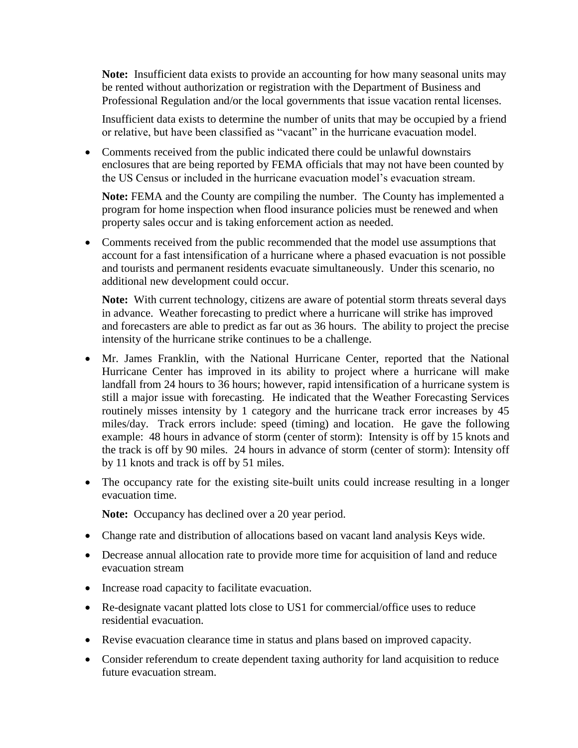**Note:** Insufficient data exists to provide an accounting for how many seasonal units may be rented without authorization or registration with the Department of Business and Professional Regulation and/or the local governments that issue vacation rental licenses.

Insufficient data exists to determine the number of units that may be occupied by a friend or relative, but have been classified as "vacant" in the hurricane evacuation model.

 Comments received from the public indicated there could be unlawful downstairs enclosures that are being reported by FEMA officials that may not have been counted by the US Census or included in the hurricane evacuation model's evacuation stream.

**Note:** FEMA and the County are compiling the number. The County has implemented a program for home inspection when flood insurance policies must be renewed and when property sales occur and is taking enforcement action as needed.

• Comments received from the public recommended that the model use assumptions that account for a fast intensification of a hurricane where a phased evacuation is not possible and tourists and permanent residents evacuate simultaneously. Under this scenario, no additional new development could occur.

**Note:** With current technology, citizens are aware of potential storm threats several days in advance. Weather forecasting to predict where a hurricane will strike has improved and forecasters are able to predict as far out as 36 hours. The ability to project the precise intensity of the hurricane strike continues to be a challenge.

- Mr. James Franklin, with the National Hurricane Center, reported that the National Hurricane Center has improved in its ability to project where a hurricane will make landfall from 24 hours to 36 hours; however, rapid intensification of a hurricane system is still a major issue with forecasting. He indicated that the Weather Forecasting Services routinely misses intensity by 1 category and the hurricane track error increases by 45 miles/day. Track errors include: speed (timing) and location. He gave the following example: 48 hours in advance of storm (center of storm): Intensity is off by 15 knots and the track is off by 90 miles. 24 hours in advance of storm (center of storm): Intensity off by 11 knots and track is off by 51 miles.
- The occupancy rate for the existing site-built units could increase resulting in a longer evacuation time.

**Note:** Occupancy has declined over a 20 year period.

- Change rate and distribution of allocations based on vacant land analysis Keys wide.
- Decrease annual allocation rate to provide more time for acquisition of land and reduce evacuation stream
- Increase road capacity to facilitate evacuation.
- Re-designate vacant platted lots close to US1 for commercial/office uses to reduce residential evacuation.
- Revise evacuation clearance time in status and plans based on improved capacity.
- Consider referendum to create dependent taxing authority for land acquisition to reduce future evacuation stream.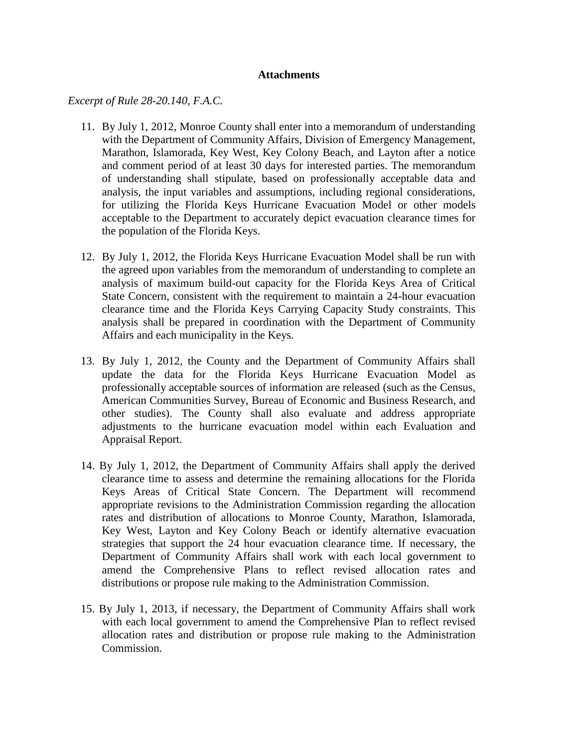#### **Attachments**

*Excerpt of Rule 28-20.140, F.A.C.*

- 11. By July 1, 2012, Monroe County shall enter into a memorandum of understanding with the Department of Community Affairs, Division of Emergency Management, Marathon, Islamorada, Key West, Key Colony Beach, and Layton after a notice and comment period of at least 30 days for interested parties. The memorandum of understanding shall stipulate, based on professionally acceptable data and analysis, the input variables and assumptions, including regional considerations, for utilizing the Florida Keys Hurricane Evacuation Model or other models acceptable to the Department to accurately depict evacuation clearance times for the population of the Florida Keys.
- 12. By July 1, 2012, the Florida Keys Hurricane Evacuation Model shall be run with the agreed upon variables from the memorandum of understanding to complete an analysis of maximum build-out capacity for the Florida Keys Area of Critical State Concern, consistent with the requirement to maintain a 24-hour evacuation clearance time and the Florida Keys Carrying Capacity Study constraints. This analysis shall be prepared in coordination with the Department of Community Affairs and each municipality in the Keys.
- 13. By July 1, 2012, the County and the Department of Community Affairs shall update the data for the Florida Keys Hurricane Evacuation Model as professionally acceptable sources of information are released (such as the Census, American Communities Survey, Bureau of Economic and Business Research, and other studies). The County shall also evaluate and address appropriate adjustments to the hurricane evacuation model within each Evaluation and Appraisal Report.
- 14. By July 1, 2012, the Department of Community Affairs shall apply the derived clearance time to assess and determine the remaining allocations for the Florida Keys Areas of Critical State Concern. The Department will recommend appropriate revisions to the Administration Commission regarding the allocation rates and distribution of allocations to Monroe County, Marathon, Islamorada, Key West, Layton and Key Colony Beach or identify alternative evacuation strategies that support the 24 hour evacuation clearance time. If necessary, the Department of Community Affairs shall work with each local government to amend the Comprehensive Plans to reflect revised allocation rates and distributions or propose rule making to the Administration Commission.
- 15. By July 1, 2013, if necessary, the Department of Community Affairs shall work with each local government to amend the Comprehensive Plan to reflect revised allocation rates and distribution or propose rule making to the Administration Commission.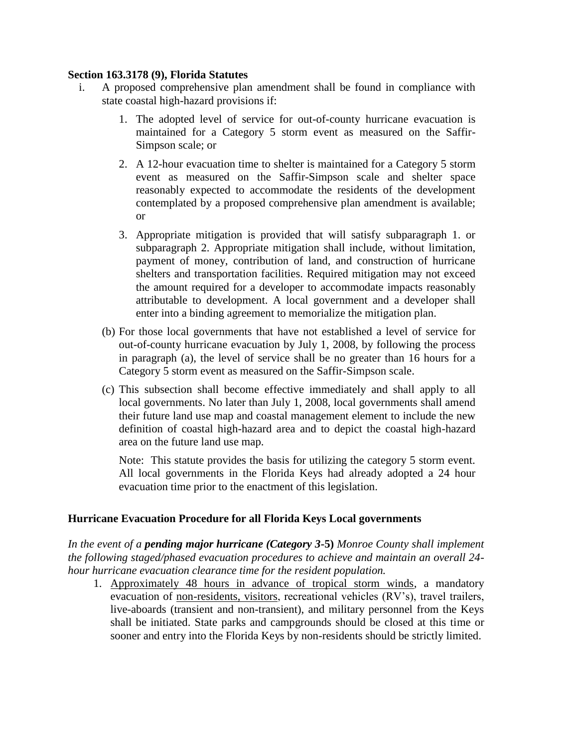#### **Section 163.3178 (9), Florida Statutes**

- i. A proposed comprehensive plan amendment shall be found in compliance with state coastal high-hazard provisions if:
	- 1. The adopted level of service for out-of-county hurricane evacuation is maintained for a Category 5 storm event as measured on the Saffir-Simpson scale; or
	- 2. A 12-hour evacuation time to shelter is maintained for a Category 5 storm event as measured on the Saffir-Simpson scale and shelter space reasonably expected to accommodate the residents of the development contemplated by a proposed comprehensive plan amendment is available; or
	- 3. Appropriate mitigation is provided that will satisfy subparagraph 1. or subparagraph 2. Appropriate mitigation shall include, without limitation, payment of money, contribution of land, and construction of hurricane shelters and transportation facilities. Required mitigation may not exceed the amount required for a developer to accommodate impacts reasonably attributable to development. A local government and a developer shall enter into a binding agreement to memorialize the mitigation plan.
	- (b) For those local governments that have not established a level of service for out-of-county hurricane evacuation by July 1, 2008, by following the process in paragraph (a), the level of service shall be no greater than 16 hours for a Category 5 storm event as measured on the Saffir-Simpson scale.
	- (c) This subsection shall become effective immediately and shall apply to all local governments. No later than July 1, 2008, local governments shall amend their future land use map and coastal management element to include the new definition of coastal high-hazard area and to depict the coastal high-hazard area on the future land use map.

Note: This statute provides the basis for utilizing the category 5 storm event. All local governments in the Florida Keys had already adopted a 24 hour evacuation time prior to the enactment of this legislation.

## **Hurricane Evacuation Procedure for all Florida Keys Local governments**

*In the event of a pending major hurricane (Category 3-***5)** *Monroe County shall implement the following staged/phased evacuation procedures to achieve and maintain an overall 24 hour hurricane evacuation clearance time for the resident population.*

1. Approximately 48 hours in advance of tropical storm winds, a mandatory evacuation of non-residents, visitors, recreational vehicles (RV's), travel trailers, live-aboards (transient and non-transient), and military personnel from the Keys shall be initiated. State parks and campgrounds should be closed at this time or sooner and entry into the Florida Keys by non-residents should be strictly limited.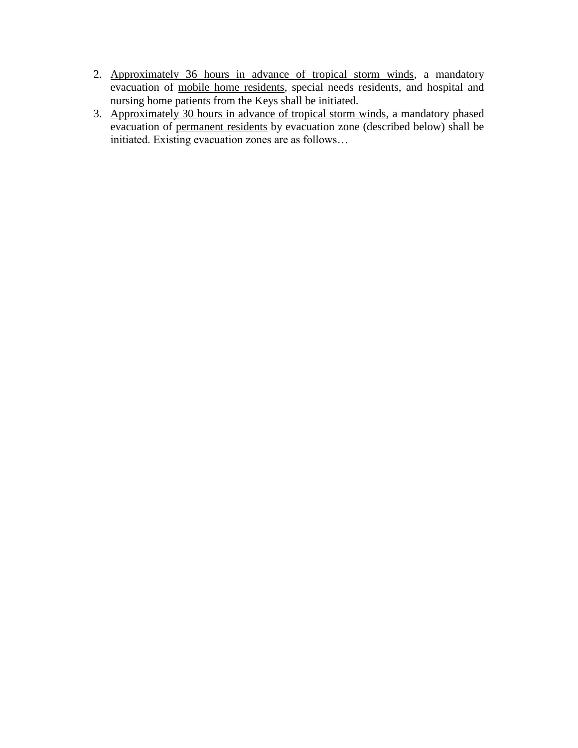- 2. Approximately 36 hours in advance of tropical storm winds, a mandatory evacuation of mobile home residents, special needs residents, and hospital and nursing home patients from the Keys shall be initiated.
- 3. Approximately 30 hours in advance of tropical storm winds, a mandatory phased evacuation of <u>permanent residents</u> by evacuation zone (described below) shall be initiated. Existing evacuation zones are as follows…